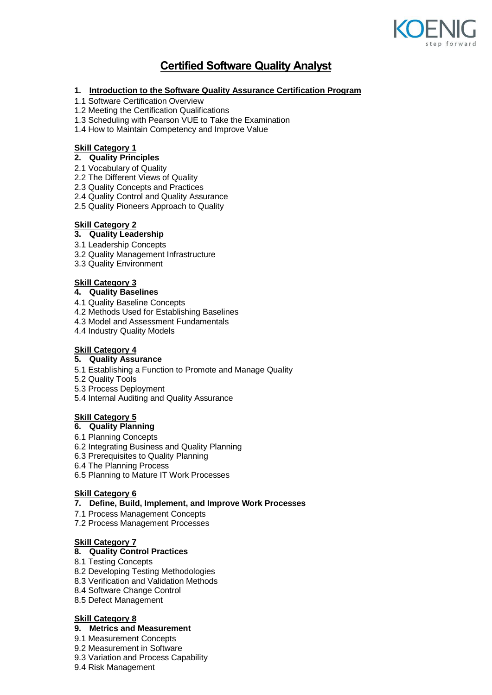

# **Certified Software Quality Analyst**

#### **1. Introduction to the Software Quality Assurance Certification Program**

- 1.1 Software Certification Overview
- 1.2 Meeting the Certification Qualifications
- 1.3 Scheduling with Pearson VUE to Take the Examination
- 1.4 How to Maintain Competency and Improve Value

## **Skill Category 1**

# **2. Quality Principles**

- 2.1 Vocabulary of Quality
- 2.2 The Different Views of Quality
- 2.3 Quality Concepts and Practices
- 2.4 Quality Control and Quality Assurance
- 2.5 Quality Pioneers Approach to Quality

## **Skill Category 2**

- **3. Quality Leadership**
- 3.1 Leadership Concepts
- 3.2 Quality Management Infrastructure
- 3.3 Quality Environment

#### **Skill Category 3**

#### **4. Quality Baselines**

- 4.1 Quality Baseline Concepts
- 4.2 Methods Used for Establishing Baselines
- 4.3 Model and Assessment Fundamentals
- 4.4 Industry Quality Models

# **Skill Category 4**

#### **5. Quality Assurance**

- 5.1 Establishing a Function to Promote and Manage Quality
- 5.2 Quality Tools
- 5.3 Process Deployment
- 5.4 Internal Auditing and Quality Assurance

#### **Skill Category 5**

# **6. Quality Planning**

- 6.1 Planning Concepts
- 6.2 Integrating Business and Quality Planning
- 6.3 Prerequisites to Quality Planning
- 6.4 The Planning Process
- 6.5 Planning to Mature IT Work Processes

#### **Skill Category 6**

#### **7. Define, Build, Implement, and Improve Work Processes**

- 7.1 Process Management Concepts
- 7.2 Process Management Processes

# **Skill Category 7**

#### **8. Quality Control Practices**

- 8.1 Testing Concepts
- 8.2 Developing Testing Methodologies
- 8.3 Verification and Validation Methods
- 8.4 Software Change Control
- 8.5 Defect Management

## **Skill Category 8**

# **9. Metrics and Measurement**

- 9.1 Measurement Concepts
- 9.2 Measurement in Software
- 9.3 Variation and Process Capability
- 9.4 Risk Management